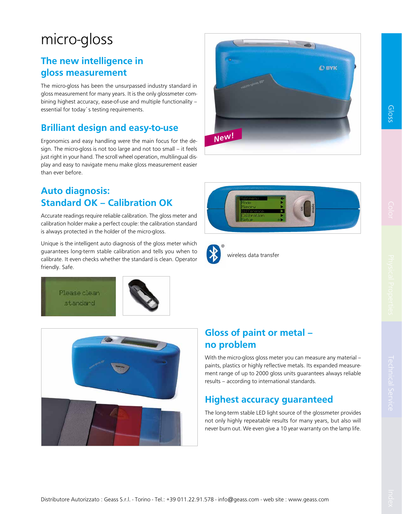# micro-gloss

#### The new intelligence in gloss measurement

The micro-gloss has been the unsurpassed industry standard in gloss measurement for many years. It is the only glossmeter combining highest accuracy, ease-of-use and multiple functionality – essential for today`s testing requirements.

#### Brilliant design and easy-to-use

Ergonomics and easy handling were the main focus for the design. The micro-gloss is not too large and not too small – it feels just right in your hand. The scroll wheel operation, multilingual display and easy to navigate menu make gloss measurement easier than ever before.

#### Auto diagnosis: Standard OK – Calibration OK

Accurate readings require reliable calibration. The gloss meter and calibration holder make a perfect couple: the calibration standard is always protected in the holder of the micro-gloss.

Unique is the intelligent auto diagnosis of the gloss meter which guarantees long-term stable calibration and tells you when to calibrate. It even checks whether the standard is clean. Operator friendly. Safe.











wireless data transfer



With the micro-gloss gloss meter you can measure any material – paints, plastics or highly reflective metals. Its expanded measurement range of up to 2000 gloss units guarantees always reliable results – according to international standards.

#### Highest accuracy guaranteed

The long-term stable LED light source of the glossmeter provides not only highly repeatable results for many years, but also will never burn out. We even give a 10 year warranty on the lamp life.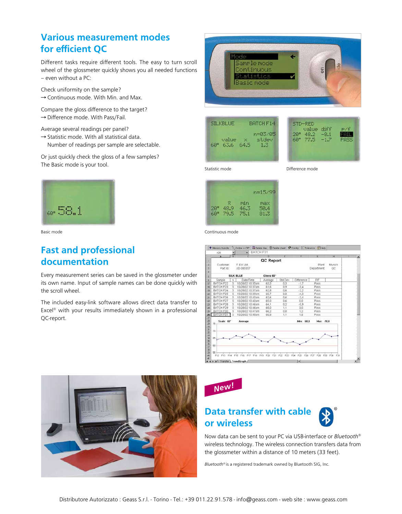#### Various measurement modes for efficient QC

Different tasks require different tools. The easy to turn scroll wheel of the glossmeter quickly shows you all needed functions – even without a PC:

Check uniformity on the sample?  $\rightarrow$  Continuous mode. With Min. and Max.

Compare the gloss difference to the target?  $\rightarrow$  Difference mode. With Pass/Fail.

Average several readings per panel?

- $\rightarrow$  Statistic mode. With all statistical data.
- Number of readings per sample are selectable.

Or just quickly check the gloss of a few samples? The Basic mode is your tool.



Basic mode

#### Fast and professional documentation

Every measurement series can be saved in the glossmeter under its own name. Input of sample names can be done quickly with the scroll wheel.

The included easy-link software allows direct data transfer to Excel® with your results immediately shown in a professional QC-report.



| <b>SILKBLUE</b> |               | BATCH F14 |                  |  |
|-----------------|---------------|-----------|------------------|--|
| €Й≞             | value<br>63.6 | 64.5      | n=03/05<br>stdev |  |



Statistic mode

Difference mode



Continuous mode

|                      | A26        |                | T Memory transfer 7, Online = OFF REDelete line B Delete sheet 12 Config 1. Tolerance (2) Help<br>٠ | BATCH F31 |           |         |            |           |            |                |    |
|----------------------|------------|----------------|-----------------------------------------------------------------------------------------------------|-----------|-----------|---------|------------|-----------|------------|----------------|----|
|                      | $\Lambda$  | $\overline{B}$ |                                                                                                     |           |           |         |            |           |            | $\overline{H}$ |    |
|                      |            |                |                                                                                                     |           | D         |         |            |           | ß          |                |    |
| т                    |            |                |                                                                                                     |           | QC Report |         |            |           |            |                |    |
| ä                    | Customer:  |                | F & K Ltd.                                                                                          |           |           |         |            |           | Plant      | Munich         |    |
| 3                    | Part Id.   |                | UD-385337                                                                                           |           |           |         |            |           | Department | QC             |    |
| $\ddot{4}$           |            |                |                                                                                                     |           |           |         |            |           |            |                |    |
| 5                    |            |                | <b>SILK BLUE</b>                                                                                    |           | Gloss 60° |         |            |           |            |                |    |
| g.                   | Sample     | n              | Date/Time                                                                                           |           | Average   | Std.Dev | Difference |           | PÆ         |                |    |
| 17                   | BATCH F22  | 5              | 10/28/02 10:35am                                                                                    |           | 63,3      | 0.3     | $-1.7$     |           | Pass       |                |    |
| 18                   | BATCH F23  | 6              | 10/28/02 10:37am                                                                                    |           | 61.6      | 0.9     | $-3,4$     |           | Pass       |                |    |
| 13                   | BATCH F24  | 5              | 10/28/02 10:37am                                                                                    |           | 62.8      | 0.6     | $-2.2$     |           | Pass       |                |    |
| 20                   | BATCH F25  | $\epsilon$     | 10/28/02 10:39am                                                                                    |           | 60.7      | 0.8     | $-4.3$     |           | Pass       |                |    |
| 21                   | BATCH F26  | 6              | 10/28/02 10:40am                                                                                    |           | 62.6      | 0,6     | $-2.4$     |           | Pass       |                |    |
| $\overline{z}$       | BATCH F27  | 5              | 10/28/02 10:40am                                                                                    |           | 65,0      | 0.6     | 0,0        |           | Pass       |                |    |
| 23                   | BATCH F28  | 5              | 10/28/02 10:46am                                                                                    |           | 64.1      | 0,2     | $-0.9$     |           | Pass       |                |    |
| $^{24}$              | BATCH F29  | 5              | 10/28/02 10:46am                                                                                    |           | 68.0      | 1,1     | 3,0        |           | Pass       |                |    |
| 35                   | BATCH F30  | 5              | 10/28/02 10:47am                                                                                    |           | 66,2      | 0.8     | 1,2        |           | Pass       |                |    |
| 26                   | BATCH F31  | 5              | 10/28/02 10:48am                                                                                    |           | 66.8      | 1.1     | 1,8        |           | Pass       |                |    |
|                      | Scale: 60* |                |                                                                                                     |           |           |         |            |           |            |                |    |
|                      | 75         |                | Average                                                                                             |           |           |         |            | Min: 60.0 | Max: 70.0  |                |    |
|                      |            |                |                                                                                                     |           |           |         |            |           |            |                |    |
|                      | 70         |                |                                                                                                     |           |           |         |            |           |            |                |    |
|                      |            |                |                                                                                                     |           |           |         |            |           |            |                |    |
|                      | 65         |                |                                                                                                     |           |           |         |            |           |            |                |    |
|                      |            |                |                                                                                                     |           |           |         |            |           |            |                |    |
|                      | 60         |                |                                                                                                     |           |           |         |            |           |            |                |    |
| 2.2020年2021年英国大学家第20 |            |                |                                                                                                     |           |           |         |            |           |            |                |    |
|                      | 55         |                |                                                                                                     |           |           |         |            |           |            |                |    |
| 40                   | F12<br>F13 |                | F14 F15 F16 F17 F18 F19 F20 F21 F22 F23 F24 F25 F26                                                 |           |           |         |            |           | F27<br>F29 | F29 F30<br>F31 |    |
| 141                  |            |                |                                                                                                     |           |           |         |            |           |            |                | чń |





## Data transfer with cable or wireless



Now data can be sent to your PC via USB-interface or *Bluetooth®* wireless technology. The wireless connection transfers data from the glossmeter within a distance of 10 meters (33 feet).

*Bluetooth®* is a registered trademark owned by Bluetooth SIG, Inc.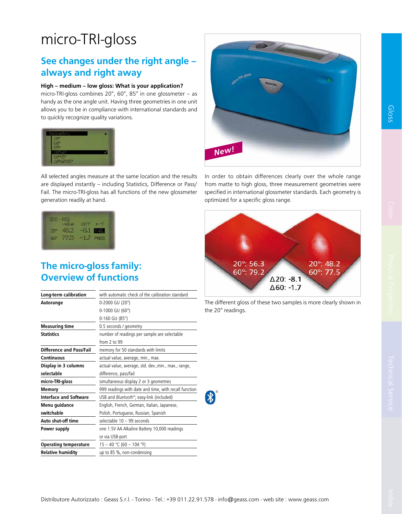# micro-TRI-gloss

#### See changes under the right angle – always and right away

#### High – medium – low gloss: What is your application?

micro-TRI-gloss combines 20°, 60°, 85° in one glossmeter – as handy as the one angle unit. Having three geometries in one unit allows you to be in compliance with international standards and to quickly recognize quality variations.



All selected angles measure at the same location and the results are displayed instantly – including Statistics, Difference or Pass/ Fail. The micro-TRI-gloss has all functions of the new glossmeter generation readily at hand.

| $ID - BED$<br>value diff e/f |                   |             |
|------------------------------|-------------------|-------------|
| $20^{\circ}$ $48.2^{\circ}$  | $-8.1$ <b>FEM</b> |             |
| 60° 77.5                     | $-1.7$            | <b>PRES</b> |

### The micro-gloss family: Overview of functions

| Long-term calibration           | with automatic check of the calibration standard      |  |  |
|---------------------------------|-------------------------------------------------------|--|--|
| Autorange                       | 0-2000 GU (20°)                                       |  |  |
|                                 | 0-1000 GU (60°)                                       |  |  |
|                                 | 0-160 GU (85°)                                        |  |  |
| <b>Measuring time</b>           | 0.5 seconds / geometry                                |  |  |
| <b>Statistics</b>               | number of readings per sample are selectable          |  |  |
|                                 | from $2$ to $99$                                      |  |  |
| <b>Difference and Pass/Fail</b> | memory for 50 standards with limits                   |  |  |
| Continuous                      | actual value, average, min., max.                     |  |  |
| Display in 3 columns            | actual value, average, std. dev., min., max., range,  |  |  |
| selectable                      | difference, pass/fail                                 |  |  |
| micro-TRI-gloss                 | simultaneous display 2 or 3 geometries                |  |  |
| Memory                          | 999 readings with date and time, with recall function |  |  |
| <b>Interface and Software</b>   | USB and Bluetooth®; easy-link (included)              |  |  |
| Menu guidance                   | English, French, German, Italian, Japanese,           |  |  |
| switchable                      | Polish, Portuguese, Russian, Spanish                  |  |  |
| Auto shut-off time              | selectable 10 - 99 seconds                            |  |  |
| Power supply                    | one 1.5V AA Alkaline Battery 10,000 readings          |  |  |
|                                 | or via USB-port                                       |  |  |
| <b>Operating temperature</b>    | 15 - 40 °C (60 - 104 °F)                              |  |  |
| <b>Relative humidity</b>        | up to 85 %, non-condensing                            |  |  |
|                                 |                                                       |  |  |



In order to obtain differences clearly over the whole range from matte to high gloss, three measurement geometries were specified in international glossmeter standards. Each geometry is optimized for a specific gloss range.



The different gloss of these two samples is more clearly shown in the 20° readings.

第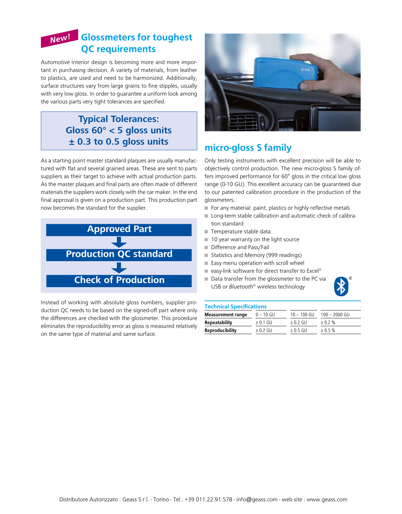## Glossmeters for toughest  *New!* QC requirements

Automotive interior design is becoming more and more important in purchasing decision. A variety of materials, from leather to plastics, are used and need to be harmonized. Additionally, surface structures vary from large grains to fine stipples, usually with very low gloss. In order to guarantee a uniform look among the various parts very tight tolerances are specified.

#### **Typical Tolerances: Gloss 60° < 5 gloss units ± 0.3 to 0.5 gloss units**

As a starting point master standard plaques are usually manufactured with flat and several grained areas. These are sent to parts suppliers as their target to achieve with actual production parts. As the master plaques and final parts are often made of different materials the suppliers work closely with the car maker. In the end final approval is given on a production part. This production part now becomes the standard for the supplier.



Instead of working with absolute gloss numbers, supplier production QC needs to be based on the signed-off part where only the differences are checked with the glossmeter. This procedure eliminates the reproducibility error as gloss is measured relatively on the same type of material and same surface.



### micro-gloss S family

Only testing instruments with excellent precision will be able to objectively control production. The new micro-gloss S family offers improved performance for 60° gloss in the critical low gloss range (0-10 GU). This excellent accuracy can be guaranteed due to our patented calibration procedure in the production of the glossmeters.

- For any material: paint, plastics or highly reflective metals
- Long-term stable calibration and automatic check of calibration standard
- Temperature stable data
- 10 year warranty on the light source
- Difference and Pass/Fail
- Statistics and Memory (999 readings)
- Easy menu operation with scroll wheel
- $\blacksquare$  easy-link software for direct transfer to Excel®
- Data transfer from the glossmeter to the PC via USB or *Bluetooth®* wireless technology



#### Technical Specifications

| <b>Measurement range</b> | $0 - 10$ GU  | $10 - 100$ GU | $100 - 2000$ GU |  |
|--------------------------|--------------|---------------|-----------------|--|
| <b>Repeatability</b>     | $\pm$ 0.1 GU | $\pm$ 0.2 GU  | $+0.2%$         |  |
| <b>Reproducibility</b>   | $+0.2$ GU    | $+05$ GU      | $+0.5%$         |  |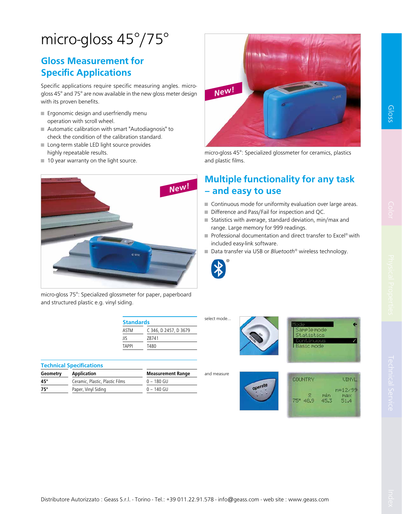# micro-gloss 45°/75°

### Gloss Measurement for Specific Applications

Specific applications require specific measuring angles. microgloss 45° and 75° are now available in the new gloss meter design with its proven benefits.

- Ergonomic design and userfriendly menu operation with scroll wheel.
- Automatic calibration with smart "Autodiagnosis" to check the condition of the calibration standard.
- Long-term stable LED light source provides highly repeatable results.
- 10 year warranty on the light source.



micro-gloss 75°: Specialized glossmeter for paper, paperboard and structured plastic e.g. vinyl siding.

| <b>Standards</b> |                       |  |  |  |  |
|------------------|-----------------------|--|--|--|--|
| ASTM             | C 346, D 2457, D 3679 |  |  |  |  |
| IIS              | 78741                 |  |  |  |  |
| <b>TAPPI</b>     | T480                  |  |  |  |  |

|            | <b>Technical Specifications</b> |                          |
|------------|---------------------------------|--------------------------|
| Geometry   | <b>Application</b>              | <b>Measurement Range</b> |
| 45°        | Ceramic, Plastic, Plastic Films | $0 - 180$ GU             |
| $75^\circ$ | Paper, Vinyl Siding             | $0 - 140$ GU             |

| New! | m. | œ | OBYK |
|------|----|---|------|
|      |    |   |      |
|      |    |   |      |

micro-gloss 45°: Specialized glossmeter for ceramics, plastics and plastic films.

## Multiple functionality for any task – and easy to use

- Continuous mode for uniformity evaluation over large areas.
- Difference and Pass/Fail for inspection and QC.

operat

- Statistics with average, standard deviation, min/max and range. Large memory for 999 readings.
- Professional documentation and direct transfer to Excel® with included easy-link software.

Samele mor  $st.$  at  $ist.$ **Basic mode** 

**COUNTRY** 

 $75° 48.9$ 

■ Data transfer via USB or *Bluetooth<sup>®</sup>* wireless technology.



select mode...

and measure

Appearance Color

Gloss

**UTNYL** 

 $n=12/99$ 

max

 $51.4$ 

min

45.3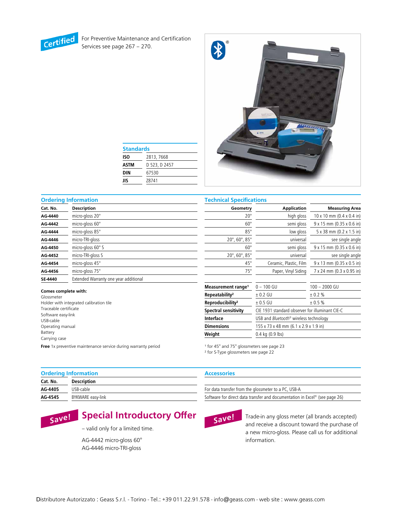

For Preventive Maintenance and Certification Services see page 267 – 270.



| <b>Standards</b> |               |  |  |  |
|------------------|---------------|--|--|--|
| <b>ISO</b>       | 2813, 7668    |  |  |  |
| ASTM             | D 523, D 2457 |  |  |  |
| DIN              | 67530         |  |  |  |
| JIS              | Z8741         |  |  |  |

#### Ordering Information Technical Specifications

| Cat. No. | Description                           | Geometry                                     | <b>Application</b>     | <b>Measuring Area</b>                   |
|----------|---------------------------------------|----------------------------------------------|------------------------|-----------------------------------------|
| AG-4440  | micro-gloss 20°                       | $20^{\circ}$                                 | high gloss             | $10 \times 10$ mm (0.4 $\times$ 0.4 in) |
| AG-4442  | micro-gloss 60°                       | $60^\circ$                                   | semi gloss             | 9 x 15 mm (0.35 x 0.6 in)               |
| AG-4444  | micro-gloss 85°                       | $85^\circ$                                   | low gloss              | 5 x 38 mm (0.2 x 1.5 in)                |
| AG-4446  | micro-TRI-gloss                       | $20^{\circ}$ , 60 $^{\circ}$ , 85 $^{\circ}$ | universal              | see single angle                        |
| AG-4450  | micro-gloss $60^\circ$ S              | $60^\circ$                                   | semi gloss             | 9 x 15 mm (0.35 x 0.6 in)               |
| AG-4452  | micro-TRI-gloss S                     | $20^{\circ}$ , 60 $^{\circ}$ , 85 $^{\circ}$ | universal              | see single angle                        |
| AG-4454  | micro-gloss 45°                       | $45^{\circ}$                                 | Ceramic, Plastic, Film | 9 x 13 mm (0.35 x 0.5 in)               |
| AG-4456  | micro-gloss 75°                       | $75^{\circ}$                                 | Paper, Vinyl Siding    | 7 x 24 mm (0.3 x 0.95 in)               |
| SE-4440  | Extended Warranty one year additional |                                              |                        |                                         |

#### Comes complete with:

Glossmeter Holder with integrated calibration tile Traceable certificate Software easy-link USB-cable Operating manual Battery Carrying case

| 2 U                            | ccoip indi                                      | ווויד. ט גיד. טן ווווויטו גיטו |  |  |
|--------------------------------|-------------------------------------------------|--------------------------------|--|--|
| $60^\circ$                     | semi gloss                                      | 9 x 15 mm (0.35 x 0.6 in)      |  |  |
| $85^\circ$                     | low gloss                                       | 5 x 38 mm (0.2 x 1.5 in)       |  |  |
| 20°, 60°, 85°                  | universal                                       | see single angle               |  |  |
| $60^\circ$                     | semi gloss                                      | 9 x 15 mm (0.35 x 0.6 in)      |  |  |
| 20°, 60°, 85°                  | universal                                       | see single angle               |  |  |
| $45^{\circ}$                   | Ceramic, Plastic, Film                          | 9 x 13 mm (0.35 x 0.5 in)      |  |  |
| $75^\circ$                     | Paper, Vinyl Siding                             | 7 x 24 mm (0.3 x 0.95 in)      |  |  |
|                                |                                                 |                                |  |  |
| Measurement range <sup>1</sup> | $0 - 100$ GU                                    | 100 - 2000 GU                  |  |  |
| Repeatability <sup>2</sup>     | $± 0.2$ GU                                      | ± 0.2 %                        |  |  |
| Reproducibility <sup>2</sup>   | $± 0.5$ GU                                      | ± 0.5 %                        |  |  |
| Spectral sensitivity           | CIE 1931 standard observer for illuminant CIE-C |                                |  |  |
| Interface                      | USB and Bluetooth® wireless technology          |                                |  |  |
| <b>Dimensions</b>              | 155 x 73 x 48 mm (6.1 x 2.9 x 1.9 in)           |                                |  |  |
| Weight                         | 0.4 kg (0.9 lbs)                                |                                |  |  |

Free 1x preventive maintenance service during warranty period

<sup>1</sup> for 45° and 75° glossmeters see page 23

² for S-Type glossmeters see page 22

| <b>Ordering Information</b> |                    | A۰ |
|-----------------------------|--------------------|----|
| Cat. No.                    | <b>Description</b> |    |
| AG-4405                     | USB-cable          | Fo |
| AG-4545                     | BYKWARE easy-link  | So |

#### ccessories

r data transfer from the glossmeter to a PC, USB-A

ftware for direct data transfer and documentation in Excel® (see page 26)



Special Introductory Offer

– valid only for a limited time.

AG-4442 micro-gloss 60° AG-4446 micro-TRI-gloss



Trade-in any gloss meter (all brands accepted) and receive a discount toward the purchase of a new micro-gloss. Please call us for additional information.